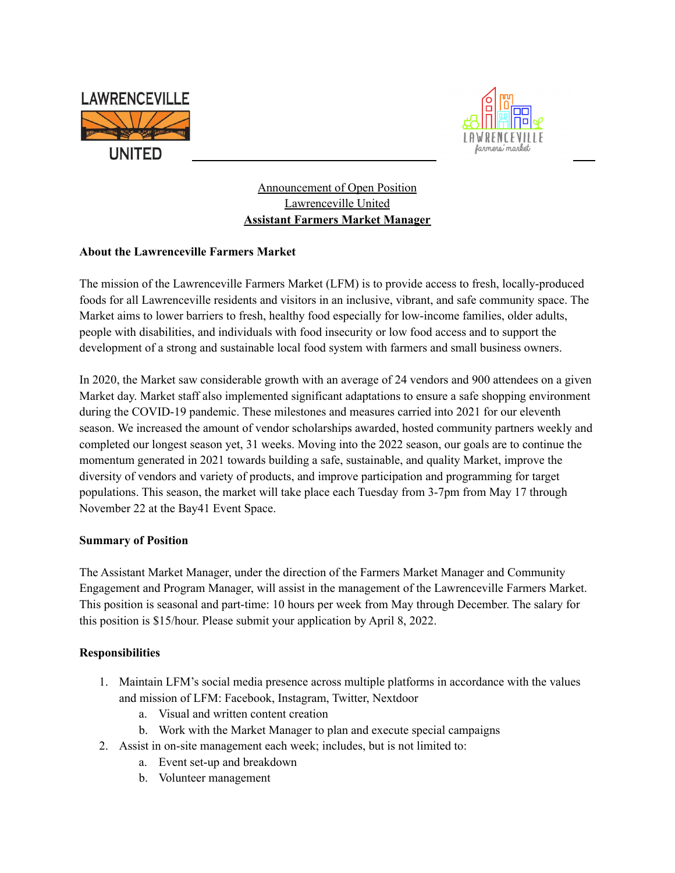



Announcement of Open Position Lawrenceville United **Assistant Farmers Market Manager**

## **About the Lawrenceville Farmers Market**

The mission of the Lawrenceville Farmers Market (LFM) is to provide access to fresh, locally-produced foods for all Lawrenceville residents and visitors in an inclusive, vibrant, and safe community space. The Market aims to lower barriers to fresh, healthy food especially for low-income families, older adults, people with disabilities, and individuals with food insecurity or low food access and to support the development of a strong and sustainable local food system with farmers and small business owners.

In 2020, the Market saw considerable growth with an average of 24 vendors and 900 attendees on a given Market day. Market staff also implemented significant adaptations to ensure a safe shopping environment during the COVID-19 pandemic. These milestones and measures carried into 2021 for our eleventh season. We increased the amount of vendor scholarships awarded, hosted community partners weekly and completed our longest season yet, 31 weeks. Moving into the 2022 season, our goals are to continue the momentum generated in 2021 towards building a safe, sustainable, and quality Market, improve the diversity of vendors and variety of products, and improve participation and programming for target populations. This season, the market will take place each Tuesday from 3-7pm from May 17 through November 22 at the Bay41 Event Space.

## **Summary of Position**

The Assistant Market Manager, under the direction of the Farmers Market Manager and Community Engagement and Program Manager, will assist in the management of the Lawrenceville Farmers Market. This position is seasonal and part-time: 10 hours per week from May through December. The salary for this position is \$15/hour. Please submit your application by April 8, 2022.

## **Responsibilities**

- 1. Maintain LFM's social media presence across multiple platforms in accordance with the values and mission of LFM: Facebook, Instagram, Twitter, Nextdoor
	- a. Visual and written content creation
	- b. Work with the Market Manager to plan and execute special campaigns
- 2. Assist in on-site management each week; includes, but is not limited to:
	- a. Event set-up and breakdown
	- b. Volunteer management